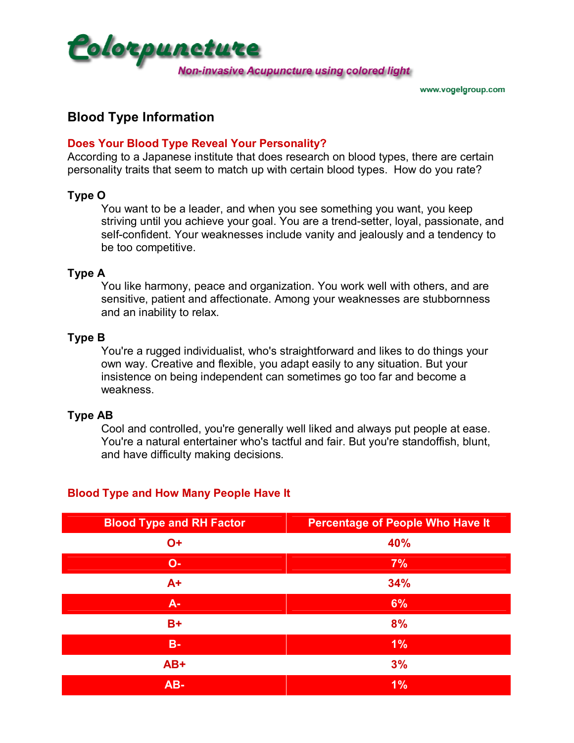

# **Blood Type Information**

### **Does Your Blood Type Reveal Your Personality?**

According to a Japanese institute that does research on blood types, there are certain personality traits that seem to match up with certain blood types. How do you rate?

# **Type O**

You want to be a leader, and when you see something you want, you keep striving until you achieve your goal. You are a trend-setter, loyal, passionate, and self-confident. Your weaknesses include vanity and jealously and a tendency to be too competitive.

#### **Type A**

You like harmony, peace and organization. You work well with others, and are sensitive, patient and affectionate. Among your weaknesses are stubbornness and an inability to relax.

#### **Type B**

You're a rugged individualist, who's straightforward and likes to do things your own way. Creative and flexible, you adapt easily to any situation. But your insistence on being independent can sometimes go too far and become a weakness.

#### **Type AB**

Cool and controlled, you're generally well liked and always put people at ease. You're a natural entertainer who's tactful and fair. But you're standoffish, blunt, and have difficulty making decisions.

| <b>Blood Type and RH Factor</b> | <b>Percentage of People Who Have It</b> |  |  |  |  |
|---------------------------------|-----------------------------------------|--|--|--|--|
| $O+$                            | 40%                                     |  |  |  |  |
| $O -$                           | 7%                                      |  |  |  |  |
| $A+$                            | 34%                                     |  |  |  |  |
| $A -$                           | 6%                                      |  |  |  |  |
| $B+$                            | 8%                                      |  |  |  |  |
| $B -$                           | $1\%$                                   |  |  |  |  |
| AB+                             | 3%                                      |  |  |  |  |
| AB-                             | 1%                                      |  |  |  |  |

# **Blood Type and How Many People Have It**